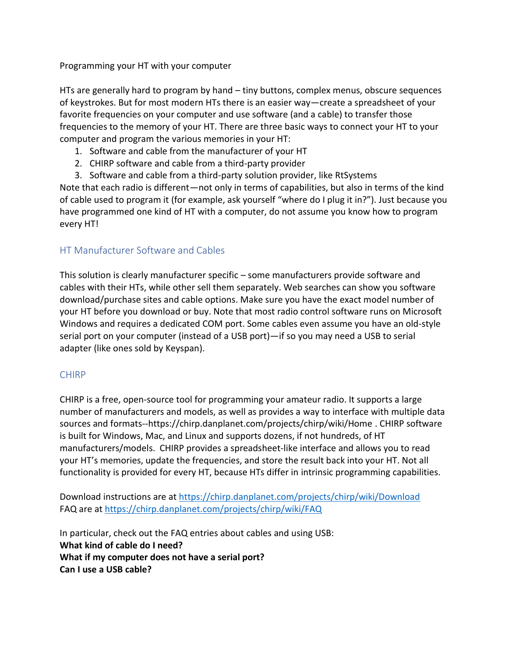Programming your HT with your computer

HTs are generally hard to program by hand – tiny buttons, complex menus, obscure sequences of keystrokes. But for most modern HTs there is an easier way—create a spreadsheet of your favorite frequencies on your computer and use software (and a cable) to transfer those frequencies to the memory of your HT. There are three basic ways to connect your HT to your computer and program the various memories in your HT:

- 1. Software and cable from the manufacturer of your HT
- 2. CHIRP software and cable from a third-party provider
- 3. Software and cable from a third-party solution provider, like RtSystems

Note that each radio is different—not only in terms of capabilities, but also in terms of the kind of cable used to program it (for example, ask yourself "where do I plug it in?"). Just because you have programmed one kind of HT with a computer, do not assume you know how to program every HT!

## HT Manufacturer Software and Cables

This solution is clearly manufacturer specific – some manufacturers provide software and cables with their HTs, while other sell them separately. Web searches can show you software download/purchase sites and cable options. Make sure you have the exact model number of your HT before you download or buy. Note that most radio control software runs on Microsoft Windows and requires a dedicated COM port. Some cables even assume you have an old-style serial port on your computer (instead of a USB port)—if so you may need a USB to serial adapter (like ones sold by Keyspan).

## CHIRP

CHIRP is a free, open-source tool for programming your amateur radio. It supports a large number of manufacturers and models, as well as provides a way to interface with multiple data sources and formats--https://chirp.danplanet.com/projects/chirp/wiki/Home . CHIRP software is built for Windows, Mac, and Linux and supports dozens, if not hundreds, of HT manufacturers/models. CHIRP provides a spreadsheet-like interface and allows you to read your HT's memories, update the frequencies, and store the result back into your HT. Not all functionality is provided for every HT, because HTs differ in intrinsic programming capabilities.

Download instructions are a[t https://chirp.danplanet.com/projects/chirp/wiki/Download](https://chirp.danplanet.com/projects/chirp/wiki/Download) FAQ are at<https://chirp.danplanet.com/projects/chirp/wiki/FAQ>

In particular, check out the FAQ entries about cables and using USB: **What kind of cable do I need? What if my computer does not have a serial port? Can I use a USB cable?**